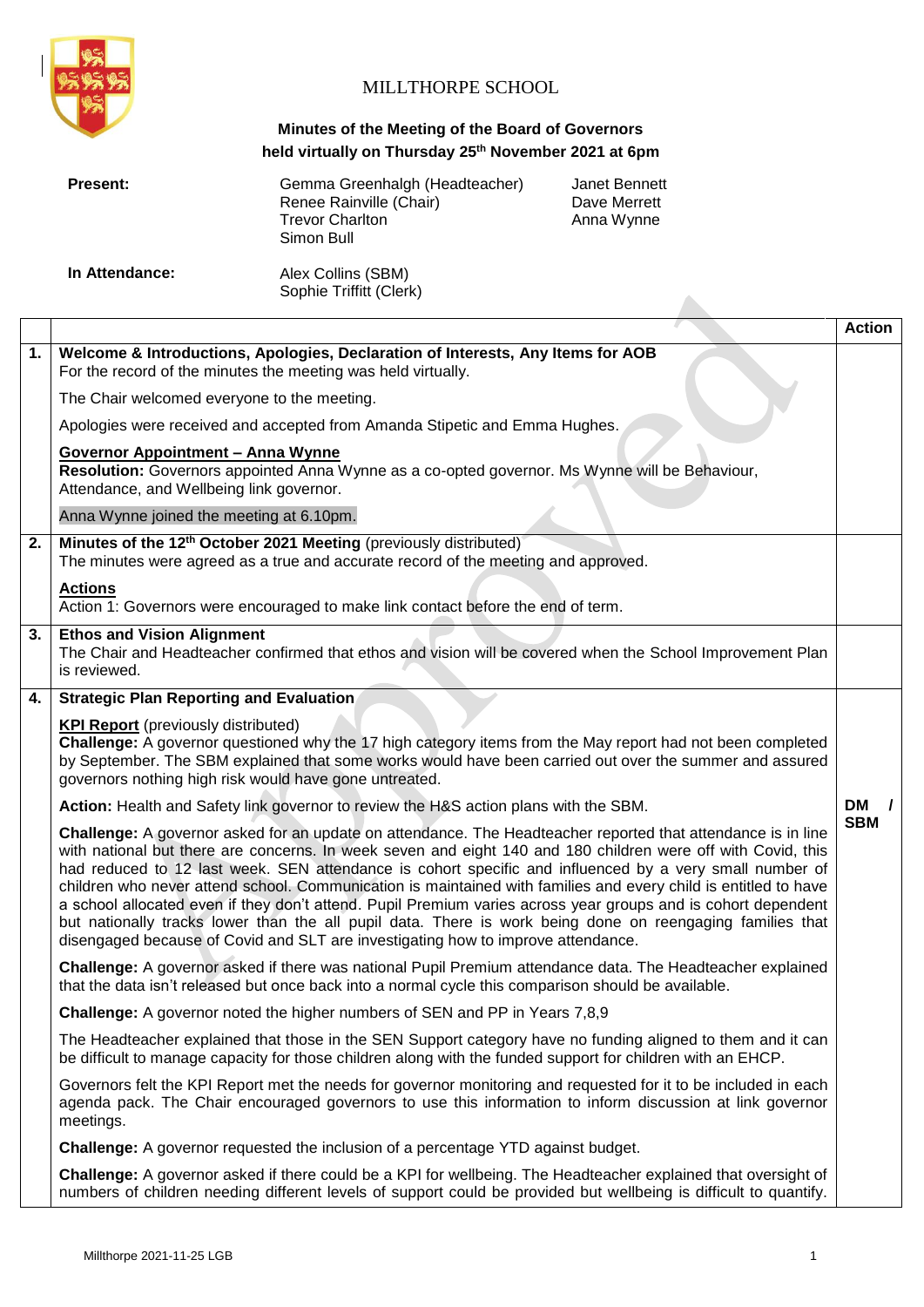

# MILLTHORPE SCHOOL

# **Minutes of the Meeting of the Board of Governors held virtually on Thursday 25th November 2021 at 6pm**

|                                                                                    | Present:                                                                                                                                                                                                                                                                                                                      | Gemma Greenhalgh (Headteacher)<br>Renee Rainville (Chair)<br><b>Trevor Charlton</b><br>Simon Bull                                                                   | <b>Janet Bennett</b><br>Dave Merrett<br>Anna Wynne                                                                                                                                                                                                                                                                                                                                                                                                                                                                                                                                                                                                                                       |               |
|------------------------------------------------------------------------------------|-------------------------------------------------------------------------------------------------------------------------------------------------------------------------------------------------------------------------------------------------------------------------------------------------------------------------------|---------------------------------------------------------------------------------------------------------------------------------------------------------------------|------------------------------------------------------------------------------------------------------------------------------------------------------------------------------------------------------------------------------------------------------------------------------------------------------------------------------------------------------------------------------------------------------------------------------------------------------------------------------------------------------------------------------------------------------------------------------------------------------------------------------------------------------------------------------------------|---------------|
|                                                                                    | In Attendance:                                                                                                                                                                                                                                                                                                                | Alex Collins (SBM)<br>Sophie Triffitt (Clerk)                                                                                                                       |                                                                                                                                                                                                                                                                                                                                                                                                                                                                                                                                                                                                                                                                                          |               |
|                                                                                    |                                                                                                                                                                                                                                                                                                                               |                                                                                                                                                                     |                                                                                                                                                                                                                                                                                                                                                                                                                                                                                                                                                                                                                                                                                          | <b>Action</b> |
| 1.                                                                                 | Welcome & Introductions, Apologies, Declaration of Interests, Any Items for AOB<br>For the record of the minutes the meeting was held virtually.                                                                                                                                                                              |                                                                                                                                                                     |                                                                                                                                                                                                                                                                                                                                                                                                                                                                                                                                                                                                                                                                                          |               |
|                                                                                    | The Chair welcomed everyone to the meeting.                                                                                                                                                                                                                                                                                   |                                                                                                                                                                     |                                                                                                                                                                                                                                                                                                                                                                                                                                                                                                                                                                                                                                                                                          |               |
|                                                                                    |                                                                                                                                                                                                                                                                                                                               | Apologies were received and accepted from Amanda Stipetic and Emma Hughes.                                                                                          |                                                                                                                                                                                                                                                                                                                                                                                                                                                                                                                                                                                                                                                                                          |               |
|                                                                                    | <b>Governor Appointment - Anna Wynne</b><br>Attendance, and Wellbeing link governor.                                                                                                                                                                                                                                          | Resolution: Governors appointed Anna Wynne as a co-opted governor. Ms Wynne will be Behaviour,                                                                      |                                                                                                                                                                                                                                                                                                                                                                                                                                                                                                                                                                                                                                                                                          |               |
|                                                                                    | Anna Wynne joined the meeting at 6.10pm.                                                                                                                                                                                                                                                                                      |                                                                                                                                                                     |                                                                                                                                                                                                                                                                                                                                                                                                                                                                                                                                                                                                                                                                                          |               |
| 2.                                                                                 |                                                                                                                                                                                                                                                                                                                               | Minutes of the 12 <sup>th</sup> October 2021 Meeting (previously distributed)<br>The minutes were agreed as a true and accurate record of the meeting and approved. |                                                                                                                                                                                                                                                                                                                                                                                                                                                                                                                                                                                                                                                                                          |               |
|                                                                                    | <b>Actions</b>                                                                                                                                                                                                                                                                                                                | Action 1: Governors were encouraged to make link contact before the end of term.                                                                                    |                                                                                                                                                                                                                                                                                                                                                                                                                                                                                                                                                                                                                                                                                          |               |
| 3.                                                                                 | <b>Ethos and Vision Alignment</b><br>The Chair and Headteacher confirmed that ethos and vision will be covered when the School Improvement Plan<br>is reviewed.                                                                                                                                                               |                                                                                                                                                                     |                                                                                                                                                                                                                                                                                                                                                                                                                                                                                                                                                                                                                                                                                          |               |
| 4.                                                                                 | <b>Strategic Plan Reporting and Evaluation</b>                                                                                                                                                                                                                                                                                |                                                                                                                                                                     |                                                                                                                                                                                                                                                                                                                                                                                                                                                                                                                                                                                                                                                                                          |               |
|                                                                                    | <b>KPI Report</b> (previously distributed)<br>Challenge: A governor questioned why the 17 high category items from the May report had not been completed<br>by September. The SBM explained that some works would have been carried out over the summer and assured<br>governors nothing high risk would have gone untreated. |                                                                                                                                                                     |                                                                                                                                                                                                                                                                                                                                                                                                                                                                                                                                                                                                                                                                                          |               |
|                                                                                    |                                                                                                                                                                                                                                                                                                                               | Action: Health and Safety link governor to review the H&S action plans with the SBM.                                                                                |                                                                                                                                                                                                                                                                                                                                                                                                                                                                                                                                                                                                                                                                                          | <b>DM</b>     |
|                                                                                    |                                                                                                                                                                                                                                                                                                                               | disengaged because of Covid and SLT are investigating how to improve attendance.                                                                                    | Challenge: A governor asked for an update on attendance. The Headteacher reported that attendance is in line<br>with national but there are concerns. In week seven and eight 140 and 180 children were off with Covid, this<br>had reduced to 12 last week. SEN attendance is cohort specific and influenced by a very small number of<br>children who never attend school. Communication is maintained with families and every child is entitled to have<br>a school allocated even if they don't attend. Pupil Premium varies across year groups and is cohort dependent<br>but nationally tracks lower than the all pupil data. There is work being done on reengaging families that | <b>SBM</b>    |
|                                                                                    |                                                                                                                                                                                                                                                                                                                               | that the data isn't released but once back into a normal cycle this comparison should be available.                                                                 | Challenge: A governor asked if there was national Pupil Premium attendance data. The Headteacher explained                                                                                                                                                                                                                                                                                                                                                                                                                                                                                                                                                                               |               |
| <b>Challenge:</b> A governor noted the higher numbers of SEN and PP in Years 7,8,9 |                                                                                                                                                                                                                                                                                                                               |                                                                                                                                                                     |                                                                                                                                                                                                                                                                                                                                                                                                                                                                                                                                                                                                                                                                                          |               |
|                                                                                    |                                                                                                                                                                                                                                                                                                                               | be difficult to manage capacity for those children along with the funded support for children with an EHCP.                                                         | The Headteacher explained that those in the SEN Support category have no funding aligned to them and it can                                                                                                                                                                                                                                                                                                                                                                                                                                                                                                                                                                              |               |
|                                                                                    | meetings.                                                                                                                                                                                                                                                                                                                     |                                                                                                                                                                     | Governors felt the KPI Report met the needs for governor monitoring and requested for it to be included in each<br>agenda pack. The Chair encouraged governors to use this information to inform discussion at link governor                                                                                                                                                                                                                                                                                                                                                                                                                                                             |               |
|                                                                                    | Challenge: A governor requested the inclusion of a percentage YTD against budget.                                                                                                                                                                                                                                             |                                                                                                                                                                     |                                                                                                                                                                                                                                                                                                                                                                                                                                                                                                                                                                                                                                                                                          |               |
|                                                                                    |                                                                                                                                                                                                                                                                                                                               |                                                                                                                                                                     |                                                                                                                                                                                                                                                                                                                                                                                                                                                                                                                                                                                                                                                                                          |               |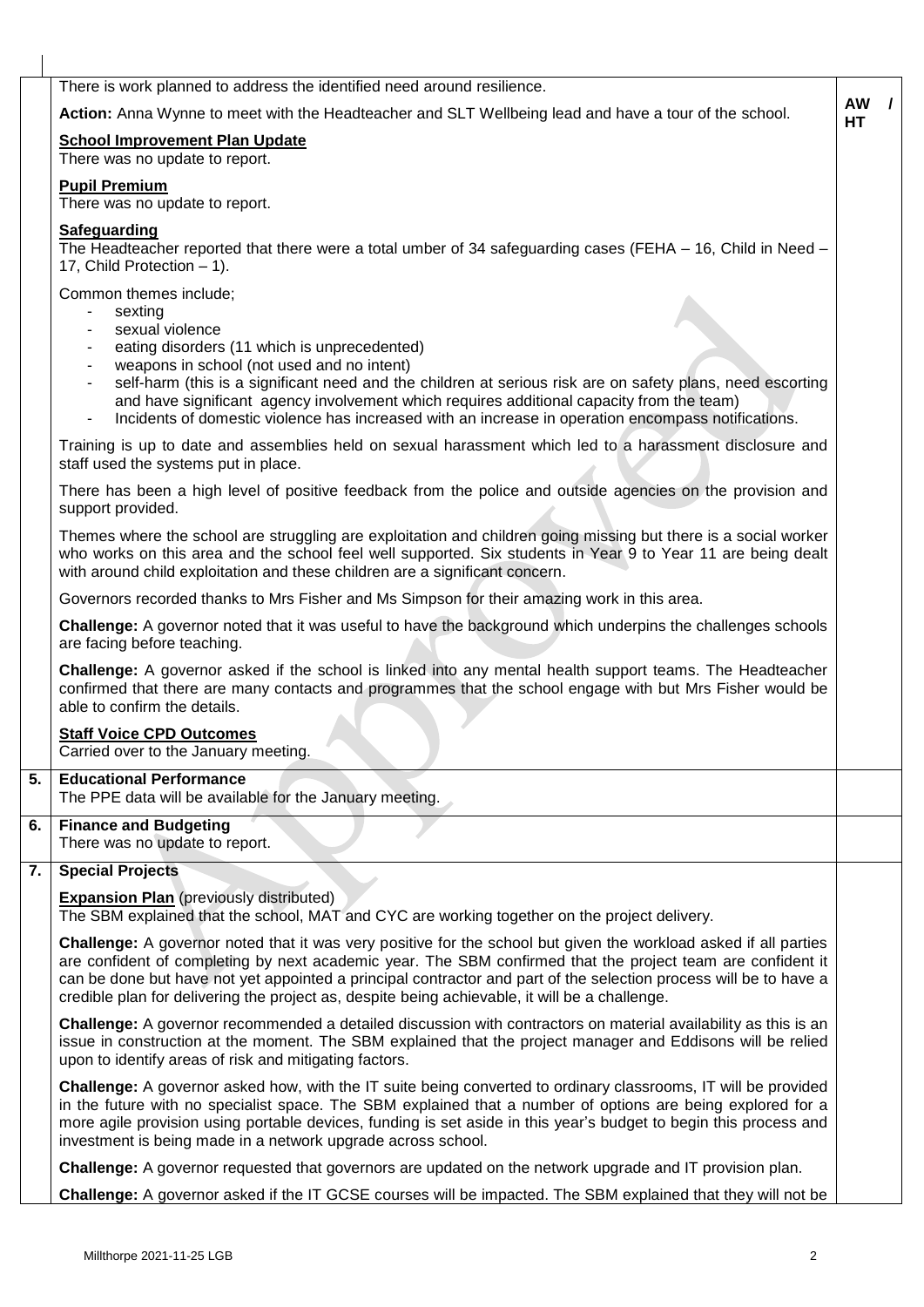| There is work planned to address the identified need around resilience.                                                                                                                                                                                                                                                                                                                                                                                |                 |  |
|--------------------------------------------------------------------------------------------------------------------------------------------------------------------------------------------------------------------------------------------------------------------------------------------------------------------------------------------------------------------------------------------------------------------------------------------------------|-----------------|--|
| Action: Anna Wynne to meet with the Headteacher and SLT Wellbeing lead and have a tour of the school.                                                                                                                                                                                                                                                                                                                                                  | <b>AW</b><br>HТ |  |
| <b>School Improvement Plan Update</b>                                                                                                                                                                                                                                                                                                                                                                                                                  |                 |  |
| There was no update to report.                                                                                                                                                                                                                                                                                                                                                                                                                         |                 |  |
| <b>Pupil Premium</b><br>There was no update to report.                                                                                                                                                                                                                                                                                                                                                                                                 |                 |  |
| <b>Safeguarding</b>                                                                                                                                                                                                                                                                                                                                                                                                                                    |                 |  |
| The Headteacher reported that there were a total umber of 34 safeguarding cases (FEHA - 16, Child in Need -<br>17, Child Protection - 1).                                                                                                                                                                                                                                                                                                              |                 |  |
| Common themes include;<br>sexting<br>sexual violence<br>eating disorders (11 which is unprecedented)<br>weapons in school (not used and no intent)<br>self-harm (this is a significant need and the children at serious risk are on safety plans, need escorting<br>$\blacksquare$<br>and have significant agency involvement which requires additional capacity from the team)                                                                        |                 |  |
| Incidents of domestic violence has increased with an increase in operation encompass notifications.<br>$\blacksquare$<br>Training is up to date and assemblies held on sexual harassment which led to a harassment disclosure and                                                                                                                                                                                                                      |                 |  |
| staff used the systems put in place.                                                                                                                                                                                                                                                                                                                                                                                                                   |                 |  |
| There has been a high level of positive feedback from the police and outside agencies on the provision and<br>support provided.                                                                                                                                                                                                                                                                                                                        |                 |  |
| Themes where the school are struggling are exploitation and children going missing but there is a social worker<br>who works on this area and the school feel well supported. Six students in Year 9 to Year 11 are being dealt<br>with around child exploitation and these children are a significant concern.                                                                                                                                        |                 |  |
| Governors recorded thanks to Mrs Fisher and Ms Simpson for their amazing work in this area.                                                                                                                                                                                                                                                                                                                                                            |                 |  |
| Challenge: A governor noted that it was useful to have the background which underpins the challenges schools<br>are facing before teaching.                                                                                                                                                                                                                                                                                                            |                 |  |
| Challenge: A governor asked if the school is linked into any mental health support teams. The Headteacher<br>confirmed that there are many contacts and programmes that the school engage with but Mrs Fisher would be<br>able to confirm the details.                                                                                                                                                                                                 |                 |  |
| <b>Staff Voice CPD Outcomes</b><br>Carried over to the January meeting.                                                                                                                                                                                                                                                                                                                                                                                |                 |  |
| <b>Educational Performance</b><br>The PPE data will be available for the January meeting.                                                                                                                                                                                                                                                                                                                                                              |                 |  |
| <b>Finance and Budgeting</b><br>There was no update to report.                                                                                                                                                                                                                                                                                                                                                                                         |                 |  |
| <b>Special Projects</b>                                                                                                                                                                                                                                                                                                                                                                                                                                |                 |  |
| <b>Expansion Plan</b> (previously distributed)<br>The SBM explained that the school, MAT and CYC are working together on the project delivery.                                                                                                                                                                                                                                                                                                         |                 |  |
|                                                                                                                                                                                                                                                                                                                                                                                                                                                        |                 |  |
| Challenge: A governor noted that it was very positive for the school but given the workload asked if all parties<br>are confident of completing by next academic year. The SBM confirmed that the project team are confident it<br>can be done but have not yet appointed a principal contractor and part of the selection process will be to have a<br>credible plan for delivering the project as, despite being achievable, it will be a challenge. |                 |  |
| Challenge: A governor recommended a detailed discussion with contractors on material availability as this is an<br>issue in construction at the moment. The SBM explained that the project manager and Eddisons will be relied<br>upon to identify areas of risk and mitigating factors.                                                                                                                                                               |                 |  |
| Challenge: A governor asked how, with the IT suite being converted to ordinary classrooms, IT will be provided<br>in the future with no specialist space. The SBM explained that a number of options are being explored for a<br>more agile provision using portable devices, funding is set aside in this year's budget to begin this process and<br>investment is being made in a network upgrade across school.                                     |                 |  |
| Challenge: A governor requested that governors are updated on the network upgrade and IT provision plan.                                                                                                                                                                                                                                                                                                                                               |                 |  |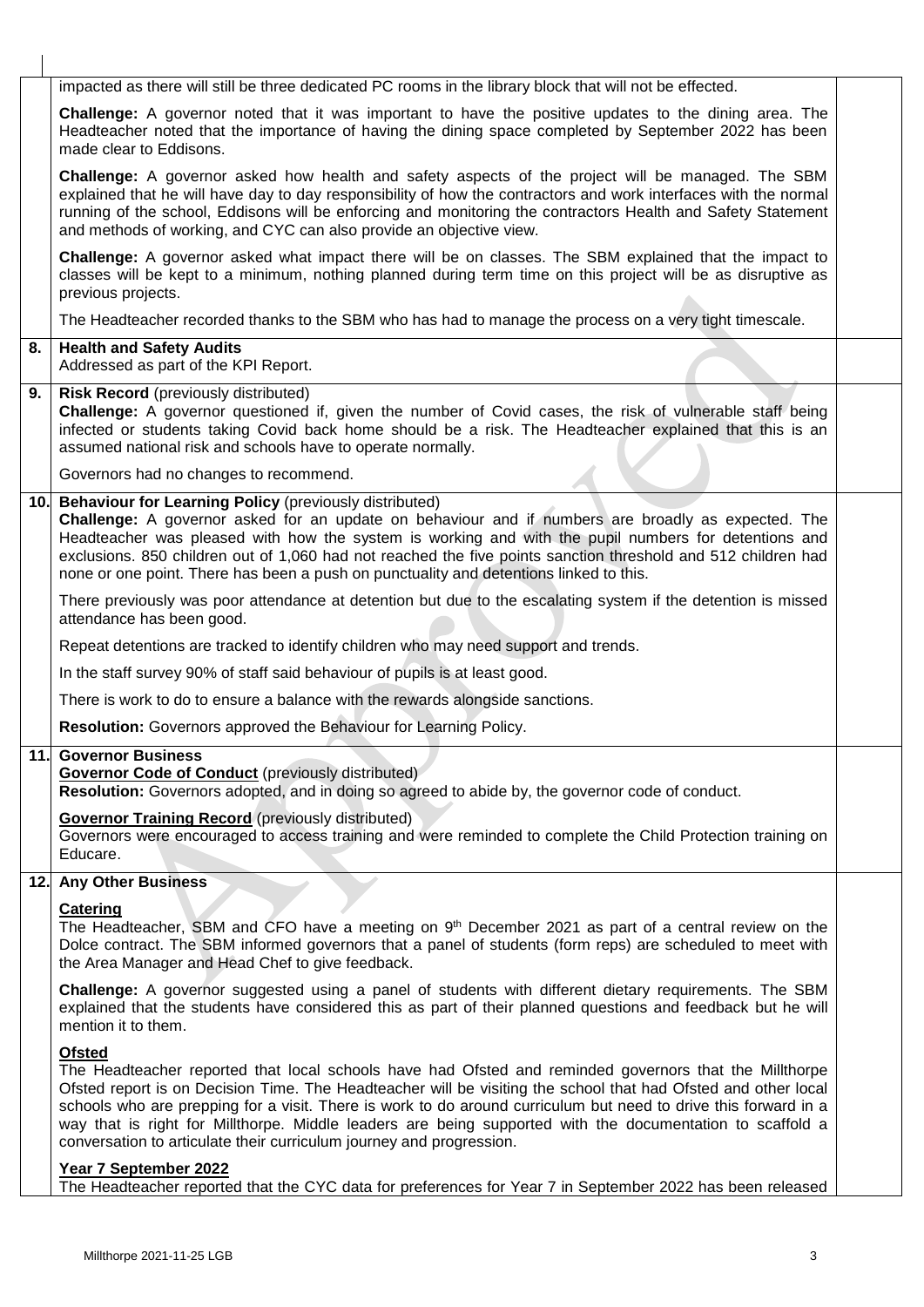|     | impacted as there will still be three dedicated PC rooms in the library block that will not be effected.                                                                                                                                                                                                                                                                                                                                                                                                                                          |  |
|-----|---------------------------------------------------------------------------------------------------------------------------------------------------------------------------------------------------------------------------------------------------------------------------------------------------------------------------------------------------------------------------------------------------------------------------------------------------------------------------------------------------------------------------------------------------|--|
|     | <b>Challenge:</b> A governor noted that it was important to have the positive updates to the dining area. The<br>Headteacher noted that the importance of having the dining space completed by September 2022 has been<br>made clear to Eddisons.                                                                                                                                                                                                                                                                                                 |  |
|     | Challenge: A governor asked how health and safety aspects of the project will be managed. The SBM<br>explained that he will have day to day responsibility of how the contractors and work interfaces with the normal<br>running of the school, Eddisons will be enforcing and monitoring the contractors Health and Safety Statement<br>and methods of working, and CYC can also provide an objective view.                                                                                                                                      |  |
|     | Challenge: A governor asked what impact there will be on classes. The SBM explained that the impact to<br>classes will be kept to a minimum, nothing planned during term time on this project will be as disruptive as<br>previous projects.                                                                                                                                                                                                                                                                                                      |  |
|     | The Headteacher recorded thanks to the SBM who has had to manage the process on a very tight timescale.                                                                                                                                                                                                                                                                                                                                                                                                                                           |  |
| 8.  | <b>Health and Safety Audits</b><br>Addressed as part of the KPI Report.                                                                                                                                                                                                                                                                                                                                                                                                                                                                           |  |
| 9.  | <b>Risk Record</b> (previously distributed)<br>Challenge: A governor questioned if, given the number of Covid cases, the risk of vulnerable staff being<br>infected or students taking Covid back home should be a risk. The Headteacher explained that this is an<br>assumed national risk and schools have to operate normally.                                                                                                                                                                                                                 |  |
|     | Governors had no changes to recommend.                                                                                                                                                                                                                                                                                                                                                                                                                                                                                                            |  |
| 10. | Behaviour for Learning Policy (previously distributed)<br>Challenge: A governor asked for an update on behaviour and if numbers are broadly as expected. The<br>Headteacher was pleased with how the system is working and with the pupil numbers for detentions and<br>exclusions. 850 children out of 1,060 had not reached the five points sanction threshold and 512 children had<br>none or one point. There has been a push on punctuality and detentions linked to this.                                                                   |  |
|     | There previously was poor attendance at detention but due to the escalating system if the detention is missed<br>attendance has been good.                                                                                                                                                                                                                                                                                                                                                                                                        |  |
|     | Repeat detentions are tracked to identify children who may need support and trends.                                                                                                                                                                                                                                                                                                                                                                                                                                                               |  |
|     | In the staff survey 90% of staff said behaviour of pupils is at least good.                                                                                                                                                                                                                                                                                                                                                                                                                                                                       |  |
|     | There is work to do to ensure a balance with the rewards alongside sanctions.                                                                                                                                                                                                                                                                                                                                                                                                                                                                     |  |
|     | Resolution: Governors approved the Behaviour for Learning Policy.                                                                                                                                                                                                                                                                                                                                                                                                                                                                                 |  |
|     | <b>11. Governor Business</b><br><b>Governor Code of Conduct</b> (previously distributed)<br>Resolution: Governors adopted, and in doing so agreed to abide by, the governor code of conduct.                                                                                                                                                                                                                                                                                                                                                      |  |
|     | <b>Governor Training Record (previously distributed)</b><br>Governors were encouraged to access training and were reminded to complete the Child Protection training on<br>Educare.                                                                                                                                                                                                                                                                                                                                                               |  |
| 12. | <b>Any Other Business</b>                                                                                                                                                                                                                                                                                                                                                                                                                                                                                                                         |  |
|     | <b>Catering</b><br>The Headteacher, SBM and CFO have a meeting on 9 <sup>th</sup> December 2021 as part of a central review on the<br>Dolce contract. The SBM informed governors that a panel of students (form reps) are scheduled to meet with<br>the Area Manager and Head Chef to give feedback.                                                                                                                                                                                                                                              |  |
|     | Challenge: A governor suggested using a panel of students with different dietary requirements. The SBM<br>explained that the students have considered this as part of their planned questions and feedback but he will<br>mention it to them.                                                                                                                                                                                                                                                                                                     |  |
|     | <b>Ofsted</b><br>The Headteacher reported that local schools have had Ofsted and reminded governors that the Millthorpe<br>Ofsted report is on Decision Time. The Headteacher will be visiting the school that had Ofsted and other local<br>schools who are prepping for a visit. There is work to do around curriculum but need to drive this forward in a<br>way that is right for Millthorpe. Middle leaders are being supported with the documentation to scaffold a<br>conversation to articulate their curriculum journey and progression. |  |
|     | Year 7 September 2022<br>The Headteacher reported that the CYC data for preferences for Year 7 in September 2022 has been released                                                                                                                                                                                                                                                                                                                                                                                                                |  |